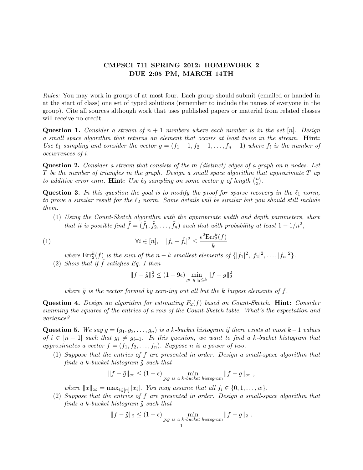## CMPSCI 711 SPRING 2012: HOMEWORK 2 DUE 2:05 PM, MARCH 14TH

Rules: You may work in groups of at most four. Each group should submit (emailed or handed in at the start of class) one set of typed solutions (remember to include the names of everyone in the group). Cite all sources although work that uses published papers or material from related classes will receive no credit.

**Question 1.** Consider a stream of  $n + 1$  numbers where each number is in the set [n]. Design a small space algorithm that returns an element that occurs at least twice in the stream. Hint: Use  $\ell_1$  sampling and consider the vector  $g = (f_1 - 1, f_2 - 1, \ldots, f_n - 1)$  where  $f_i$  is the number of occurrences of i.

**Question 2.** Consider a stream that consists of the m (distinct) edges of a graph on n nodes. Let  $T$  be the number of triangles in the graph. Design a small space algorithm that approximate  $T$  up to additive error emn. Hint: Use  $\ell_0$  sampling on some vector g of length  $\binom{n}{3}$  $\binom{n}{3}$  .

**Question 3.** In this question the goal is to modify the proof for sparse recovery in the  $\ell_1$  norm, to prove a similar result for the  $\ell_2$  norm. Some details will be similar but you should still include them.

(1) Using the Count-Sketch algorithm with the appropriate width and depth parameters, show that it is possible find  $\tilde{f} = (\tilde{f}_1, \tilde{f}_2, \dots, \tilde{f}_n)$  such that with probability at least  $1 - 1/n^2$ ,

(1) 
$$
\forall i \in [n], \quad |f_i - \tilde{f}_i|^2 \le \frac{\epsilon^2 \text{Err}_2^k(f)}{k}
$$

where  $\text{Err}_2^k(f)$  is the sum of the  $n-k$  smallest elements of  $\{|f_1|^2, |f_2|^2, \ldots, |f_n|^2\}$ .

(2) Show that if  $\tilde{f}$  satisfies Eq. 1 then

$$
||f - \tilde{g}||_2^2 \le (1 + 9\epsilon) \min_{g: ||g||_0 \le k} ||f - g||_2^2
$$

where  $\tilde{q}$  is the vector formed by zero-ing out all but the k largest elements of  $\tilde{f}$ .

**Question 4.** Design an algorithm for estimating  $F_2(f)$  based on Count-Sketch. **Hint:** Consider summing the squares of the entries of a row of the Count-Sketch table. What's the expectation and variance?

Question 5. We say  $g = (g_1, g_2, \ldots, g_n)$  is a k-bucket histogram if there exists at most k - 1 values of  $i \in [n-1]$  such that  $g_i \neq g_{i+1}$ . In this question, we want to find a k-bucket histogram that approximates a vector  $f = (f_1, f_2, \ldots, f_n)$ . Suppose n is a power of two.

(1) Suppose that the entries of f are presented in order. Design a small-space algorithm that finds a k-bucket histogram  $\tilde{g}$  such that

$$
||f - \tilde{g}||_{\infty} \le (1 + \epsilon) \min_{g:g \text{ is a } k\text{-bucket histogram}} ||f - g||_{\infty} ,
$$

where  $||x||_{\infty} = \max_{i \in [n]} |x_i|$ . You may assume that all  $f_i \in \{0, 1, ..., w\}$ .

(2) Suppose that the entries of f are presented in order. Design a small-space algorithm that finds a k-bucket histogram  $\tilde{q}$  such that

$$
||f - \tilde{g}||_2 \le (1 + \epsilon) \min_{g:g \text{ is a } k\text{-bucket histogram}} ||f - g||_2.
$$